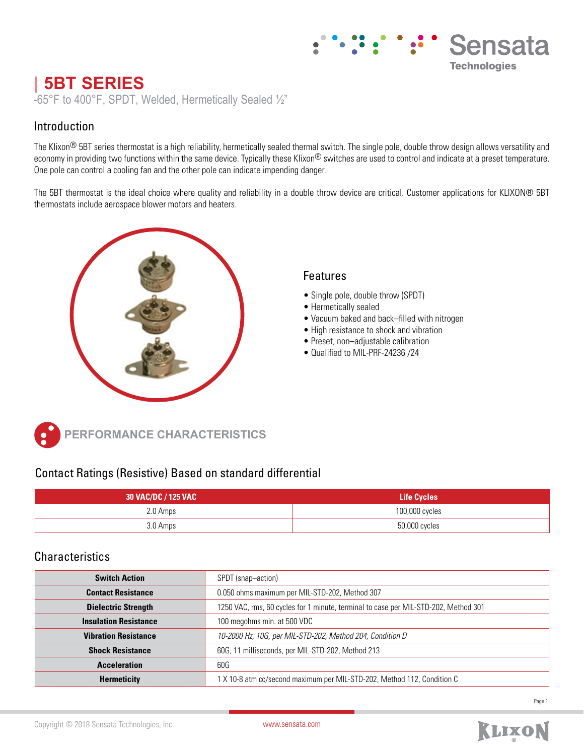# Sensata **Technologies**

# **| 5BT SERIES**

-65°F to 400°F, SPDT, Welded, Hermetically Sealed ½"

### Introduction

The Klixon<sup>®</sup> 5BT series thermostat is a high reliability, hermetically sealed thermal switch. The single pole, double throw design allows versatility and economy in providing two functions within the same device. Typically these Klixon® switches are used to control and indicate at a preset temperature. One pole can control a cooling fan and the other pole can indicate impending danger.

The 5BT thermostat is the ideal choice where quality and reliability in a double throw device are critical. Customer applications for KLIXON® 5BT thermostats include aerospace blower motors and heaters.



### Features

- Single pole, double throw (SPDT)
- Hermetically sealed
- Vacuum baked and back–filled with nitrogen
- High resistance to shock and vibration
- Preset, non–adjustable calibration
- Qualified to MIL-PRF-24236 /24



**PERFORMANCE CHARACTERISTICS**

## Contact Ratings (Resistive) Based on standard differential

| 30 VAC/DC / 125 VAC | <b>Life Cycles</b> |
|---------------------|--------------------|
| 2.0 Amps            | 100,000 cycles     |
| 3.0 Amps            | 50,000 cycles      |

#### **Characteristics**

| <b>Switch Action</b>         | SPDT (snap-action)                                                                  |
|------------------------------|-------------------------------------------------------------------------------------|
| <b>Contact Resistance</b>    | 0.050 ohms maximum per MIL-STD-202, Method 307                                      |
| <b>Dielectric Strength</b>   | 1250 VAC, rms, 60 cycles for 1 minute, terminal to case per MIL-STD-202, Method 301 |
| <b>Insulation Resistance</b> | 100 megohms min. at 500 VDC                                                         |
| <b>Vibration Resistance</b>  | 10-2000 Hz, 10G, per MIL-STD-202, Method 204, Condition D                           |
| <b>Shock Resistance</b>      | 60G, 11 milliseconds, per MIL-STD-202, Method 213                                   |
| <b>Acceleration</b>          | 60G                                                                                 |
| <b>Hermeticity</b>           | 1 X 10-8 atm cc/second maximum per MIL-STD-202, Method 112, Condition C             |

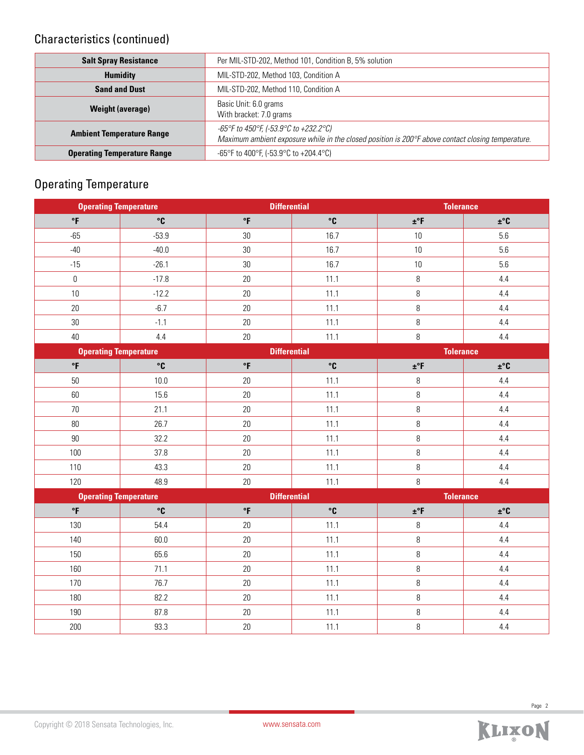## Characteristics (continued)

| <b>Salt Spray Resistance</b>       | Per MIL-STD-202, Method 101, Condition B, 5% solution                                                                                      |  |
|------------------------------------|--------------------------------------------------------------------------------------------------------------------------------------------|--|
| <b>Humidity</b>                    | MIL-STD-202, Method 103, Condition A                                                                                                       |  |
| <b>Sand and Dust</b>               | MIL-STD-202, Method 110, Condition A                                                                                                       |  |
| <b>Weight (average)</b>            | Basic Unit: 6.0 grams<br>With bracket: 7.0 grams                                                                                           |  |
| <b>Ambient Temperature Range</b>   | -65°F to 450°F, (-53.9°C to +232.2°C)<br>Maximum ambient exposure while in the closed position is 200°F above contact closing temperature. |  |
| <b>Operating Temperature Range</b> | -65°F to 400°F, (-53.9°C to +204.4°C)                                                                                                      |  |

## Operating Temperature

|                              | <b>Differential</b><br><b>Operating Temperature</b> |                        | <b>Tolerance</b> |                  |                                 |
|------------------------------|-----------------------------------------------------|------------------------|------------------|------------------|---------------------------------|
| $\circ$ F                    | °C                                                  | °F                     | $\mathbf{C}$     | $\pm$ °F         | $\pm$ °C                        |
| $-65$                        | $-53.9$                                             | 30                     | 16.7             | 10               | 5.6                             |
| $-40$                        | $-40.0$                                             | $30\,$                 | 16.7             | 10               | 5.6                             |
| $-15$                        | $-26.1$                                             | 30                     | 16.7             | 10               | 5.6                             |
| $\boldsymbol{0}$             | $-17.8$                                             | 20                     | 11.1             | 8                | 4.4                             |
| 10                           | $-12.2$                                             | $20\,$                 | 11.1             | $\, 8$           | 4.4                             |
| 20                           | $-6.7$                                              | 20                     | 11.1             | 8                | 4.4                             |
| $30\,$                       | $-1.1$                                              | $20\,$                 | 11.1             | $\, 8$           | 4.4                             |
| 40                           | 4.4                                                 | 20                     | 11.1             | 8                | 4.4                             |
| <b>Operating Temperature</b> |                                                     | <b>Differential</b>    |                  | <b>Tolerance</b> |                                 |
| $\circ$ F                    | $\mathbf{C}$                                        | $\mathsf{P}\mathsf{F}$ | $\mathbf{C}$     | $\pm$ °F         | ±°C                             |
| 50                           | 10.0                                                | $20\,$                 | 11.1             | 8                | 4.4                             |
| 60                           | 15.6                                                | $20\,$                 | 11.1             | $\, 8$           | 4.4                             |
| 70                           | 21.1                                                | 20                     | 11.1             | 8                | 4.4                             |
| $80\,$                       | 26.7                                                | 20                     | 11.1             | 8                | 4.4                             |
| $90\,$                       | 32.2                                                | 20                     | 11.1             | 8                | 4.4                             |
| 100                          | 37.8                                                | 20                     | 11.1             | 8                | 4.4                             |
| 110                          | 43.3                                                | $20\,$                 | 11.1             | $\, 8$           | 4.4                             |
| 120                          | 48.9                                                | 20                     | 11.1             | 8                | 4.4                             |
| <b>Operating Temperature</b> |                                                     | <b>Differential</b>    |                  | <b>Tolerance</b> |                                 |
| $\mathsf{P}$                 | $\mathbf{C}$                                        | $\circ$ F              | $\mathbf{C}$     | $\pm$ °F         | $\mathbf{\pm}^\circ \mathbf{C}$ |
| 130                          | 54.4                                                | $20\,$                 | 11.1             | $\, 8$           | 4.4                             |
| 140                          | 60.0                                                | $20\,$                 | 11.1             | $\, 8$           | 4.4                             |
| 150                          | 65.6                                                | 20                     | 11.1             | 8                | 4.4                             |
| 160                          | 71.1                                                | 20                     | 11.1             | 8                | 4.4                             |
| 170                          | 76.7                                                | $20\,$                 | 11.1             | $\, 8$           | 4.4                             |
| 180                          | 82.2                                                | $20\,$                 | 11.1             | 8                | $4.4\,$                         |
| 190                          | 87.8                                                | 20                     | 11.1             | 8                | 4.4                             |
| 200                          | 93.3                                                | 20                     | 11.1             | 8                | 4.4                             |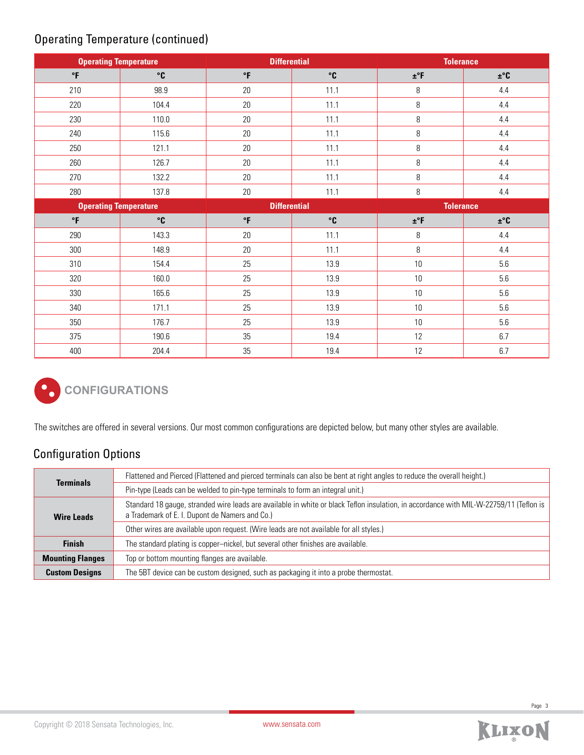## Operating Temperature (continued)

| <b>Operating Temperature</b> |              | <b>Differential</b> |              | <b>Tolerance</b> |          |
|------------------------------|--------------|---------------------|--------------|------------------|----------|
| $\,^{\circ}$ F               | $\mathbf{C}$ | $\mathsf{P}$        | $^{\circ}$ C | $\pm$ °F         | $\pm$ °C |
| 210                          | 98.9         | 20                  | 11.1         | 8                | 4.4      |
| 220                          | 104.4        | 20                  | 11.1         | 8                | 4.4      |
| 230                          | 110.0        | 20                  | 11.1         | 8                | 4.4      |
| 240                          | 115.6        | 20                  | 11.1         | 8                | 4.4      |
| 250                          | 121.1        | 20                  | 11.1         | 8                | 4.4      |
| 260                          | 126.7        | 20                  | 11.1         | 8                | 4.4      |
| 270                          | 132.2        | 20                  | 11.1         | 8                | 4.4      |
| 280                          | 137.8        | 20                  | 11.1         | 8                | 4.4      |
| <b>Operating Temperature</b> |              | <b>Differential</b> |              | <b>Tolerance</b> |          |
| $\circ$ F                    | $^{\circ}$ C | $\mathsf{P}$        | $\degree$ C  | $\pm$ °F         | $\pm$ °C |
| 290                          | 143.3        | 20                  | 11.1         | 8                | 4.4      |
| 300                          | 148.9        | 20                  | 11.1         | 8                | 4.4      |
| 310                          | 154.4        | 25                  | 13.9         | 10               | 5.6      |
| 320                          | 160.0        | 25                  | 13.9         | 10               | 5.6      |
| 330                          | 165.6        | 25                  | 13.9         | 10               | 5.6      |
| 340                          | 171.1        | 25                  | 13.9         | 10               | 5.6      |
| 350                          | 176.7        | 25                  | 13.9         | 10               | 5.6      |
| 375                          | 190.6        | 35                  | 19.4         | 12               | 6.7      |
| 400                          | 204.4        | 35                  | 19.4         | 12               | 6.7      |



The switches are offered in several versions. Our most common configurations are depicted below, but many other styles are available.

## Configuration Options

|                         | Flattened and Pierced (Flattened and pierced terminals can also be bent at right angles to reduce the overall height.)                                                                   |
|-------------------------|------------------------------------------------------------------------------------------------------------------------------------------------------------------------------------------|
| <b>Terminals</b>        | Pin-type (Leads can be welded to pin-type terminals to form an integral unit.)                                                                                                           |
| <b>Wire Leads</b>       | Standard 18 gauge, stranded wire leads are available in white or black Teflon insulation, in accordance with MIL-W-22759/11 (Teflon is<br>a Trademark of E. I. Dupont de Namers and Co.) |
|                         | Other wires are available upon request. (Wire leads are not available for all styles.)                                                                                                   |
| <b>Finish</b>           | The standard plating is copper-nickel, but several other finishes are available.                                                                                                         |
| <b>Mounting Flanges</b> | Top or bottom mounting flanges are available.                                                                                                                                            |
| <b>Custom Designs</b>   | The 5BT device can be custom designed, such as packaging it into a probe thermostat.                                                                                                     |

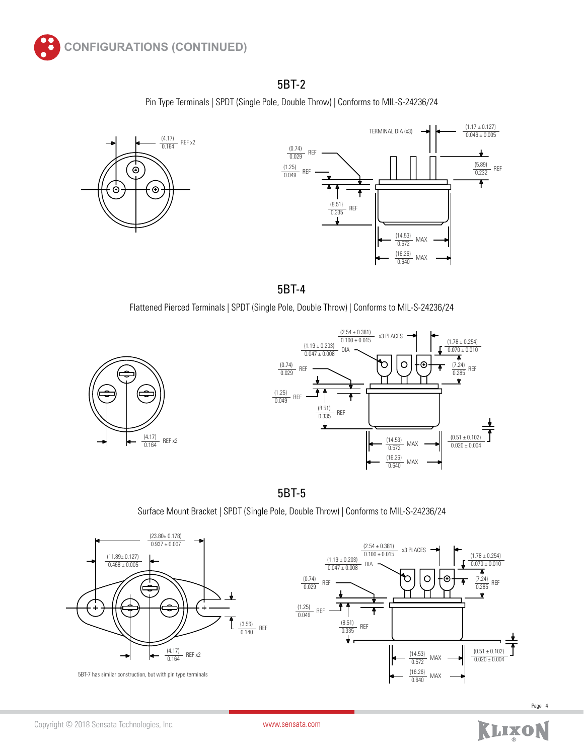

## 5BT-2

Pin Type Terminals | SPDT (Single Pole, Double Throw) | Conforms to MIL-S-24236/24



5BT-4

Flattened Pierced Terminals | SPDT (Single Pole, Double Throw) | Conforms to MIL-S-24236/24





5BT-5

Surface Mount Bracket | SPDT (Single Pole, Double Throw) | Conforms to MIL-S-24236/24





KLIXON

[www.sensata.com](http://www.sensata.com)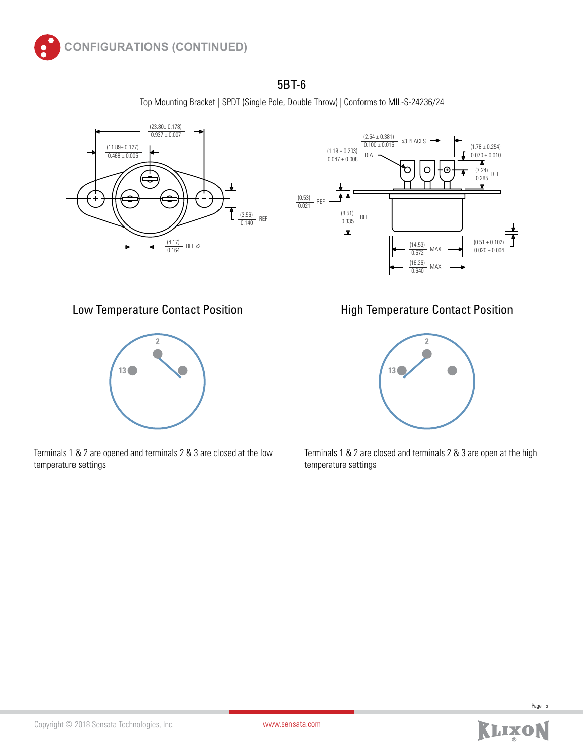

### 5BT-6

Top Mounting Bracket | SPDT (Single Pole, Double Throw) | Conforms to MIL-S-24236/24







Terminals 1 & 2 are opened and terminals 2 & 3 are closed at the low temperature settings

Low Temperature Contact Position **Figh Temperature Contact Position** 



Terminals 1 & 2 are closed and terminals 2 & 3 are open at the high temperature settings



Page 5